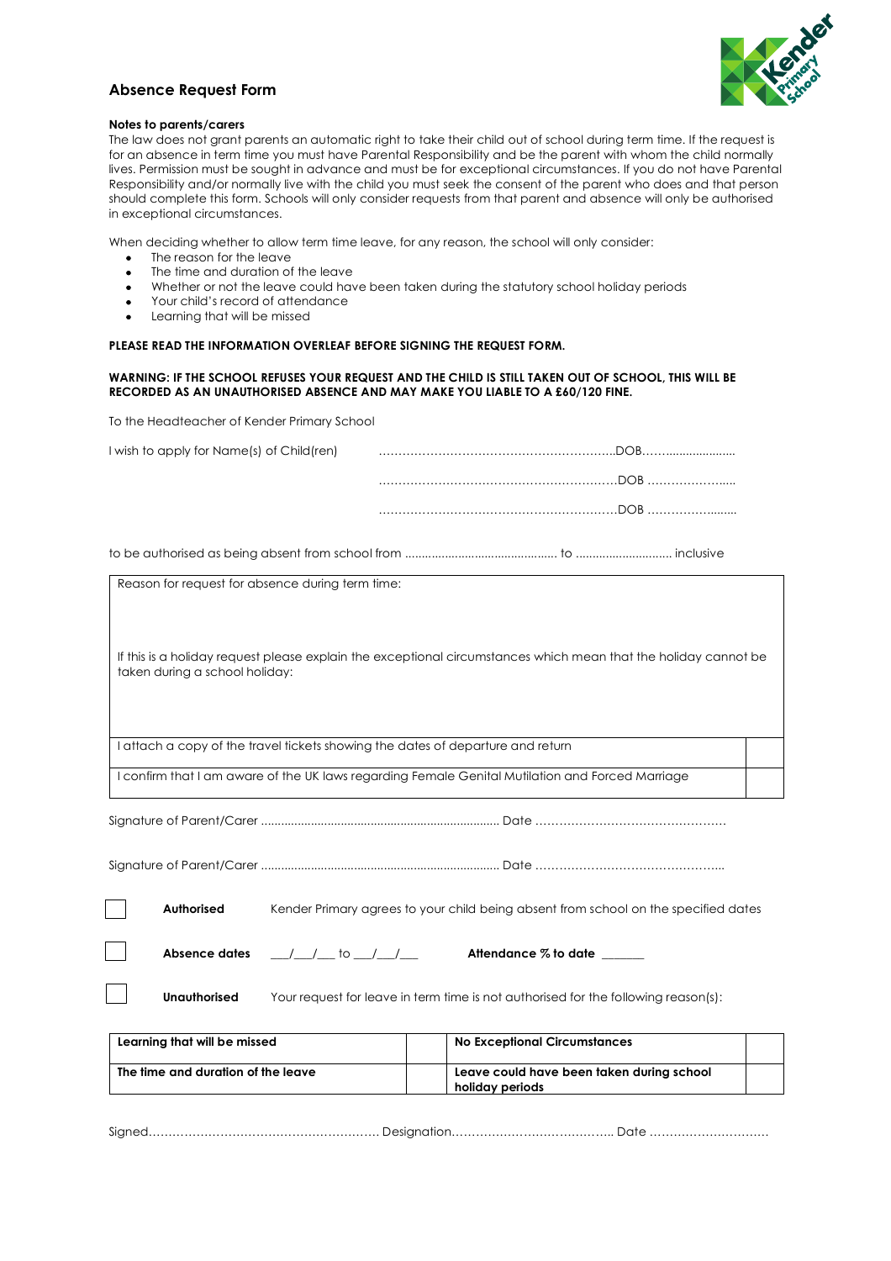

### **Absence Request Form**

#### **Notes to parents/carers**

The law does not grant parents an automatic right to take their child out of school during term time. If the request is for an absence in term time you must have Parental Responsibility and be the parent with whom the child normally lives. Permission must be sought in advance and must be for exceptional circumstances. If you do not have Parental Responsibility and/or normally live with the child you must seek the consent of the parent who does and that person should complete this form. Schools will only consider requests from that parent and absence will only be authorised in exceptional circumstances.

When deciding whether to allow term time leave, for any reason, the school will only consider:

- The reason for the leave
- The time and duration of the leave
- Whether or not the leave could have been taken during the statutory school holiday periods
- Your child's record of attendance
- Learning that will be missed

#### **PLEASE READ THE INFORMATION OVERLEAF BEFORE SIGNING THE REQUEST FORM.**

#### **WARNING: IF THE SCHOOL REFUSES YOUR REQUEST AND THE CHILD IS STILL TAKEN OUT OF SCHOOL, THIS WILL BE RECORDED AS AN UNAUTHORISED ABSENCE AND MAY MAKE YOU LIABLE TO A £60/120 FINE.**

To the Headteacher of Kender Primary School

| I wish to apply for Name(s) of Child(ren)                                       |                                                                                                                 |  |
|---------------------------------------------------------------------------------|-----------------------------------------------------------------------------------------------------------------|--|
|                                                                                 |                                                                                                                 |  |
|                                                                                 |                                                                                                                 |  |
|                                                                                 |                                                                                                                 |  |
| Reason for request for absence during term time:                                |                                                                                                                 |  |
| taken during a school holiday:                                                  | If this is a holiday request please explain the exceptional circumstances which mean that the holiday cannot be |  |
| I attach a copy of the travel tickets showing the dates of departure and return |                                                                                                                 |  |
|                                                                                 | I confirm that I am aware of the UK laws regarding Female Genital Mutilation and Forced Marriage                |  |
|                                                                                 |                                                                                                                 |  |
|                                                                                 |                                                                                                                 |  |

**Authorised** Kender Primary agrees to your child being absent from school on the specified dates

**Absence dates** \_\_\_/\_\_\_/\_\_\_ to \_\_\_/\_\_\_/\_\_\_ **Attendance % to date** \_\_\_\_\_\_\_

**Unauthorised** Your request for leave in term time is not authorised for the following reason(s):

| Learning that will be missed       | <b>No Exceptional Circumstances</b>                          |  |
|------------------------------------|--------------------------------------------------------------|--|
| The time and duration of the leave | Leave could have been taken during school<br>holiday periods |  |

Signed…………………………………………………. Designation………………………………….. Date …………………………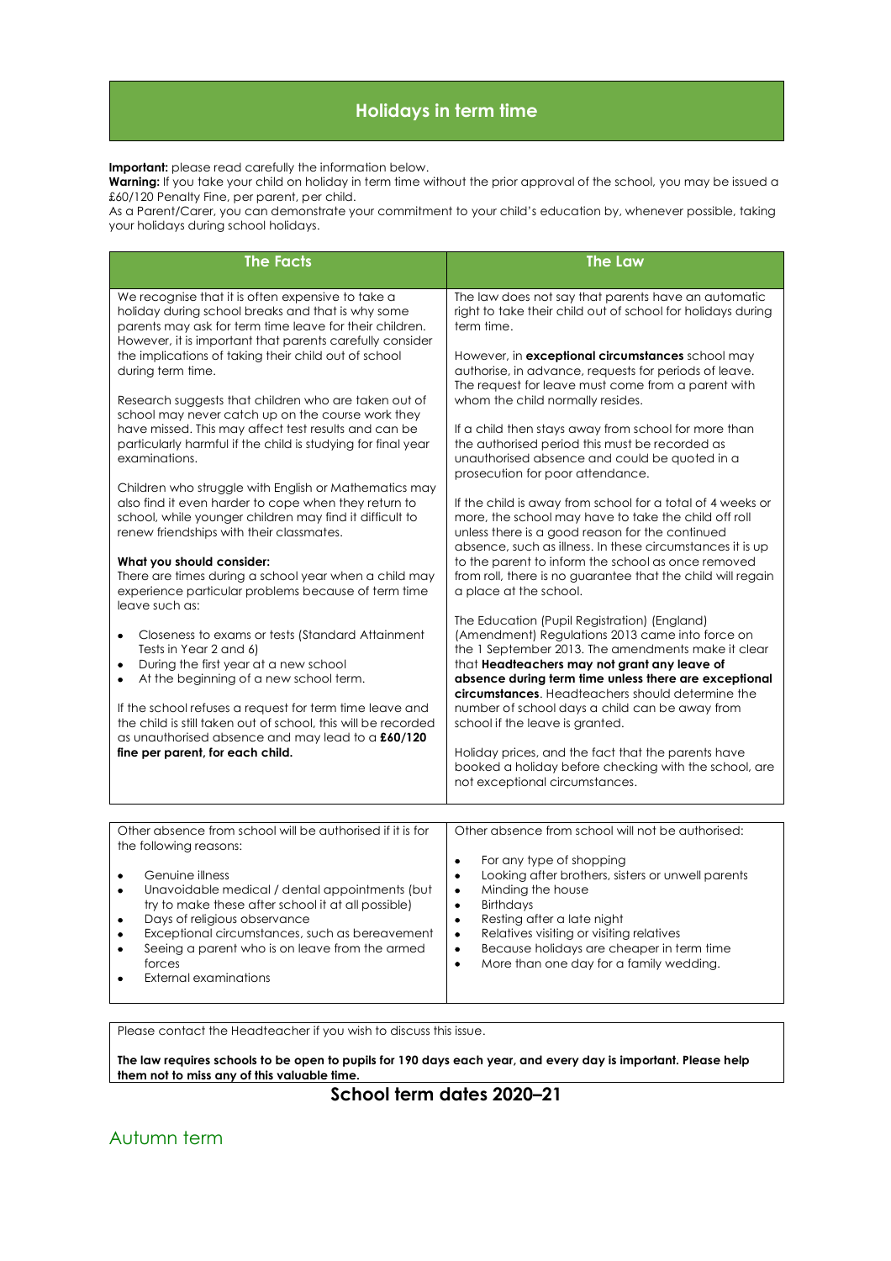# **Holidays in term time**

#### **Important:** please read carefully the information below.

**Warning:** If you take your child on holiday in term time without the prior approval of the school, you may be issued a £60/120 Penalty Fine, per parent, per child.

As a Parent/Carer, you can demonstrate your commitment to your child's education by, whenever possible, taking your holidays during school holidays.

| <b>The Facts</b>                                                                                                                                                                                                                                                                                                                                                                                                       | <b>The Law</b>                                                                                                                                                                                                                                                                                                                                                                                                                                |  |
|------------------------------------------------------------------------------------------------------------------------------------------------------------------------------------------------------------------------------------------------------------------------------------------------------------------------------------------------------------------------------------------------------------------------|-----------------------------------------------------------------------------------------------------------------------------------------------------------------------------------------------------------------------------------------------------------------------------------------------------------------------------------------------------------------------------------------------------------------------------------------------|--|
|                                                                                                                                                                                                                                                                                                                                                                                                                        |                                                                                                                                                                                                                                                                                                                                                                                                                                               |  |
| We recognise that it is often expensive to take a<br>holiday during school breaks and that is why some<br>parents may ask for term time leave for their children.<br>However, it is important that parents carefully consider<br>the implications of taking their child out of school                                                                                                                                  | The law does not say that parents have an automatic<br>right to take their child out of school for holidays during<br>term time.                                                                                                                                                                                                                                                                                                              |  |
| during term time.<br>Research suggests that children who are taken out of                                                                                                                                                                                                                                                                                                                                              | However, in <b>exceptional circumstances</b> school may<br>authorise, in advance, requests for periods of leave.<br>The request for leave must come from a parent with<br>whom the child normally resides.                                                                                                                                                                                                                                    |  |
| school may never catch up on the course work they<br>have missed. This may affect test results and can be<br>particularly harmful if the child is studying for final year<br>examinations.                                                                                                                                                                                                                             | If a child then stays away from school for more than<br>the authorised period this must be recorded as<br>unauthorised absence and could be quoted in a<br>prosecution for poor attendance.                                                                                                                                                                                                                                                   |  |
| Children who struggle with English or Mathematics may<br>also find it even harder to cope when they return to<br>school, while younger children may find it difficult to<br>renew friendships with their classmates.                                                                                                                                                                                                   | If the child is away from school for a total of 4 weeks or<br>more, the school may have to take the child off roll<br>unless there is a good reason for the continued                                                                                                                                                                                                                                                                         |  |
| What you should consider:<br>There are times during a school year when a child may<br>experience particular problems because of term time<br>leave such as:                                                                                                                                                                                                                                                            | absence, such as illness. In these circumstances it is up<br>to the parent to inform the school as once removed<br>from roll, there is no guarantee that the child will regain<br>a place at the school.                                                                                                                                                                                                                                      |  |
| Closeness to exams or tests (Standard Attainment<br>$\bullet$<br>Tests in Year 2 and 6)<br>During the first year at a new school<br>٠<br>At the beginning of a new school term.                                                                                                                                                                                                                                        | The Education (Pupil Registration) (England)<br>(Amendment) Regulations 2013 came into force on<br>the 1 September 2013. The amendments make it clear<br>that Headteachers may not grant any leave of<br>absence during term time unless there are exceptional<br><b>circumstances</b> . Headteachers should determine the                                                                                                                    |  |
| If the school refuses a request for term time leave and<br>the child is still taken out of school, this will be recorded<br>as unauthorised absence and may lead to a £60/120                                                                                                                                                                                                                                          | number of school days a child can be away from<br>school if the leave is granted.                                                                                                                                                                                                                                                                                                                                                             |  |
| fine per parent, for each child.                                                                                                                                                                                                                                                                                                                                                                                       | Holiday prices, and the fact that the parents have<br>booked a holiday before checking with the school, are<br>not exceptional circumstances.                                                                                                                                                                                                                                                                                                 |  |
|                                                                                                                                                                                                                                                                                                                                                                                                                        |                                                                                                                                                                                                                                                                                                                                                                                                                                               |  |
| Other absence from school will be authorised if it is for<br>the following reasons:<br>Genuine illness<br>Unavoidable medical / dental appointments (but<br>$\bullet$<br>try to make these after school it at all possible)<br>Days of religious observance<br>Exceptional circumstances, such as bereavement<br>Seeing a parent who is on leave from the armed<br>$\bullet$<br>forces<br><b>External examinations</b> | Other absence from school will not be authorised:<br>For any type of shopping<br>$\bullet$<br>Looking after brothers, sisters or unwell parents<br>$\bullet$<br>Minding the house<br>$\bullet$<br><b>Birthdays</b><br>$\bullet$<br>Resting after a late night<br>٠<br>Relatives visiting or visiting relatives<br>$\bullet$<br>Because holidays are cheaper in term time<br>$\bullet$<br>More than one day for a family wedding.<br>$\bullet$ |  |

Please contact the Headteacher if you wish to discuss this issue.

**The law requires schools to be open to pupils for 190 days each year, and every day is important. Please help them not to miss any of this valuable time.** 

### **School term dates 2020–21**

Autumn term